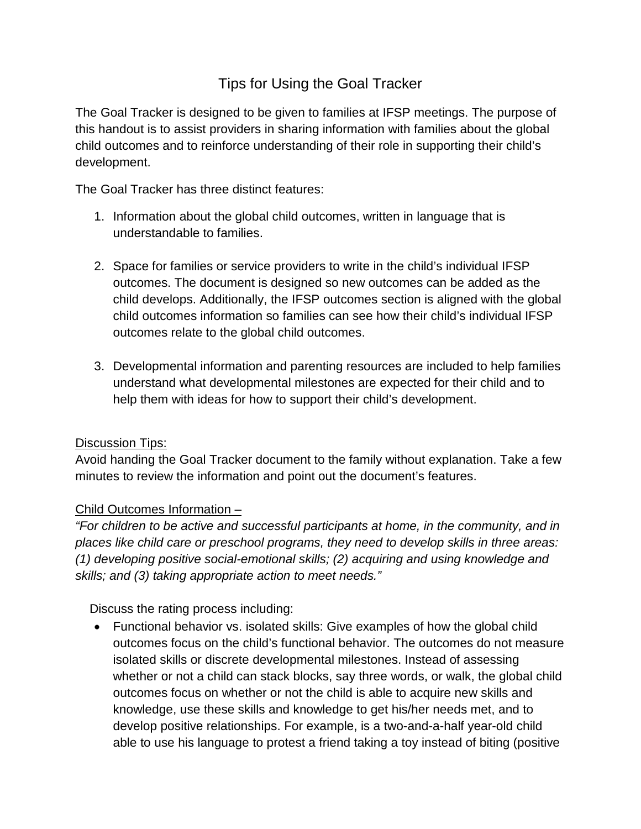# Tips for Using the Goal Tracker

The Goal Tracker is designed to be given to families at IFSP meetings. The purpose of this handout is to assist providers in sharing information with families about the global child outcomes and to reinforce understanding of their role in supporting their child's development.

The Goal Tracker has three distinct features:

- 1. Information about the global child outcomes, written in language that is understandable to families.
- 2. Space for families or service providers to write in the child's individual IFSP outcomes. The document is designed so new outcomes can be added as the child develops. Additionally, the IFSP outcomes section is aligned with the global child outcomes information so families can see how their child's individual IFSP outcomes relate to the global child outcomes.
- 3. Developmental information and parenting resources are included to help families understand what developmental milestones are expected for their child and to help them with ideas for how to support their child's development.

### **Discussion Tips:**

Avoid handing the Goal Tracker document to the family without explanation. Take a few minutes to review the information and point out the document's features.

## Child Outcomes Information –

*"For children to be active and successful participants at home, in the community, and in places like child care or preschool programs, they need to develop skills in three areas: (1) developing positive social-emotional skills; (2) acquiring and using knowledge and skills; and (3) taking appropriate action to meet needs."*

Discuss the rating process including:

• Functional behavior vs. isolated skills: Give examples of how the global child outcomes focus on the child's functional behavior. The outcomes do not measure isolated skills or discrete developmental milestones. Instead of assessing whether or not a child can stack blocks, say three words, or walk, the global child outcomes focus on whether or not the child is able to acquire new skills and knowledge, use these skills and knowledge to get his/her needs met, and to develop positive relationships. For example, is a two-and-a-half year-old child able to use his language to protest a friend taking a toy instead of biting (positive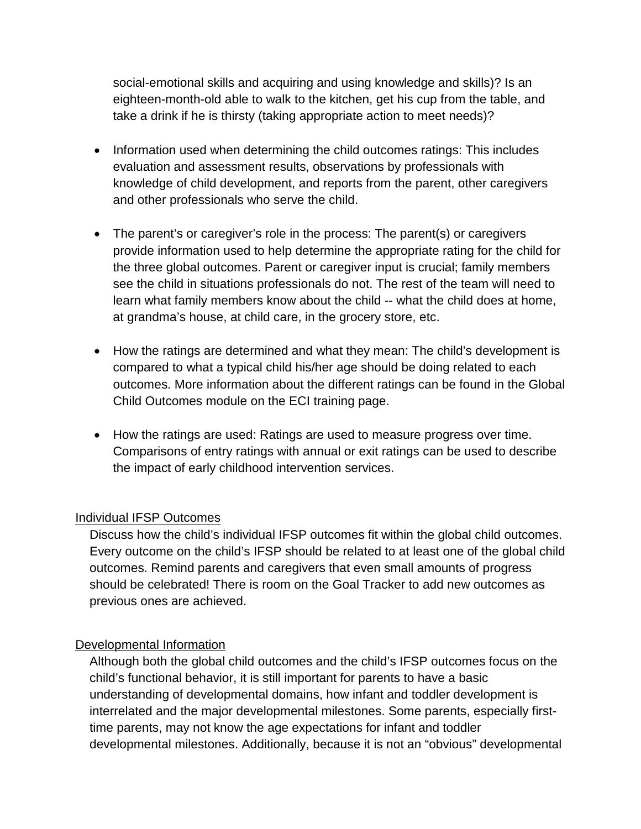social-emotional skills and acquiring and using knowledge and skills)? Is an eighteen-month-old able to walk to the kitchen, get his cup from the table, and take a drink if he is thirsty (taking appropriate action to meet needs)?

- Information used when determining the child outcomes ratings: This includes evaluation and assessment results, observations by professionals with knowledge of child development, and reports from the parent, other caregivers and other professionals who serve the child.
- The parent's or caregiver's role in the process: The parent(s) or caregivers provide information used to help determine the appropriate rating for the child for the three global outcomes. Parent or caregiver input is crucial; family members see the child in situations professionals do not. The rest of the team will need to learn what family members know about the child -- what the child does at home, at grandma's house, at child care, in the grocery store, etc.
- How the ratings are determined and what they mean: The child's development is compared to what a typical child his/her age should be doing related to each outcomes. More information about the different ratings can be found in the Global Child Outcomes module on the ECI training page.
- How the ratings are used: Ratings are used to measure progress over time. Comparisons of entry ratings with annual or exit ratings can be used to describe the impact of early childhood intervention services.

### Individual IFSP Outcomes

Discuss how the child's individual IFSP outcomes fit within the global child outcomes. Every outcome on the child's IFSP should be related to at least one of the global child outcomes. Remind parents and caregivers that even small amounts of progress should be celebrated! There is room on the Goal Tracker to add new outcomes as previous ones are achieved.

### Developmental Information

Although both the global child outcomes and the child's IFSP outcomes focus on the child's functional behavior, it is still important for parents to have a basic understanding of developmental domains, how infant and toddler development is interrelated and the major developmental milestones. Some parents, especially firsttime parents, may not know the age expectations for infant and toddler developmental milestones. Additionally, because it is not an "obvious" developmental